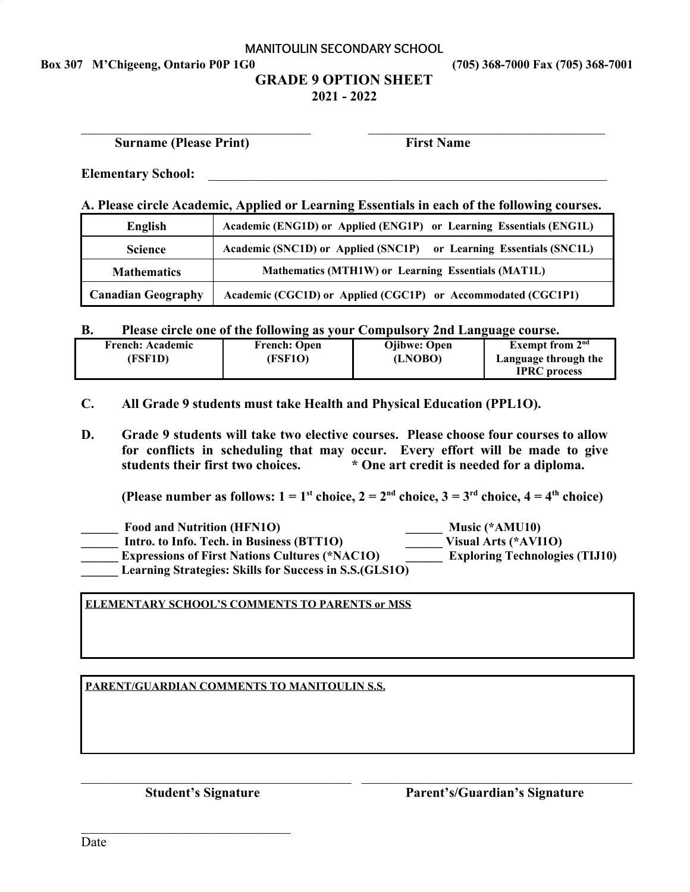#### **MANITOULIN SECONDARY SCHOOL**

**Box 307 M'Chigeeng, Ontario P0P 1G0 (705) 368-7000 Fax (705) 368-7001**

### **GRADE 9 OPTION SHEET 2021 - 2022**

 $\_$  , and the contribution of the contribution of  $\_$  , and  $\_$  , and  $\_$  , and  $\_$  , and  $\_$  , and  $\_$ 

 **Surname (Please Print) First Name**

Elementary School:

**A. Please circle Academic, Applied or Learning Essentials in each of the following courses.**

| English                   | Academic (ENG1D) or Applied (ENG1P) or Learning Essentials (ENG1L) |  |
|---------------------------|--------------------------------------------------------------------|--|
| <b>Science</b>            | Academic (SNC1D) or Applied (SNC1P) or Learning Essentials (SNC1L) |  |
| <b>Mathematics</b>        | Mathematics (MTH1W) or Learning Essentials (MAT1L)                 |  |
| <b>Canadian Geography</b> | Academic (CGC1D) or Applied (CGC1P) or Accommodated (CGC1P1)       |  |

**B. Please circle one of the following as your Compulsory 2nd Language course.**

| <b>French: Academic</b> | <b>French: Open</b> | <b>O</b> ibwe: Open | Exempt from $2nd$    |
|-------------------------|---------------------|---------------------|----------------------|
| (FSF1D)                 | (FSF1O)             | (LNOBO)             | Language through the |
|                         |                     |                     | <b>IPRC</b> process  |

- **C. All Grade 9 students must take Health and Physical Education (PPL1O).**
- **D. Grade 9 students will take two elective courses. Please choose four courses to allow for conflicts in scheduling that may occur. Every effort will be made to give students their first two choices. \* One art credit is needed for a diploma.**

**(Please number as follows:**  $1 = 1$ <sup>st</sup> choice,  $2 = 2^{nd}$  choice,  $3 = 3^{rd}$  choice,  $4 = 4^{th}$  choice)

| <b>Food and Nutrition (HFN1O)</b>                              | Music $(*AMU10)$                      |
|----------------------------------------------------------------|---------------------------------------|
| Intro. to Info. Tech. in Business (BTT1O)                      | Visual Arts (*AVI10)                  |
| <b>Expressions of First Nations Cultures (*NAC1O)</b>          | <b>Exploring Technologies (TIJ10)</b> |
| <b>Learning Strategies: Skills for Success in S.S. (GLS10)</b> |                                       |

 $\_$  , and the contribution of the contribution of  $\mathcal{L}_\mathcal{A}$  , and the contribution of  $\mathcal{L}_\mathcal{A}$ 

#### **ELEMENTARY SCHOOL'S COMMENTS TO PARENTS or MSS**

#### **PARENT/GUARDIAN COMMENTS TO MANITOULIN S.S.**

 $\mathcal{L}_\text{max}$  , where  $\mathcal{L}_\text{max}$  and  $\mathcal{L}_\text{max}$  and  $\mathcal{L}_\text{max}$ 

 **Student's Signature Parent's/Guardian's Signature**